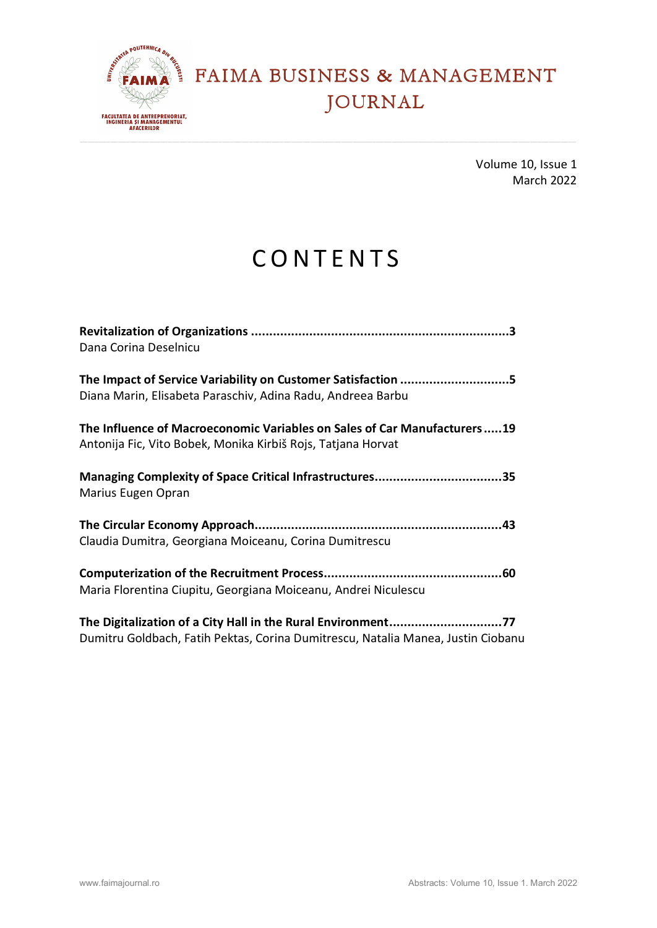

Volume 10, Issue 1 March 2022

# **CONTENTS**

| Dana Corina Deselnicu                                                                                                                    |
|------------------------------------------------------------------------------------------------------------------------------------------|
|                                                                                                                                          |
| Diana Marin, Elisabeta Paraschiv, Adina Radu, Andreea Barbu                                                                              |
| The Influence of Macroeconomic Variables on Sales of Car Manufacturers19<br>Antonija Fic, Vito Bobek, Monika Kirbiš Rojs, Tatjana Horvat |
| Managing Complexity of Space Critical Infrastructures35                                                                                  |
| Marius Eugen Opran                                                                                                                       |
|                                                                                                                                          |
| Claudia Dumitra, Georgiana Moiceanu, Corina Dumitrescu                                                                                   |
|                                                                                                                                          |
| Maria Florentina Ciupitu, Georgiana Moiceanu, Andrei Niculescu                                                                           |
| The Digitalization of a City Hall in the Rural Environment77                                                                             |
| Dumitru Goldbach, Fatih Pektas, Corina Dumitrescu, Natalia Manea, Justin Ciobanu                                                         |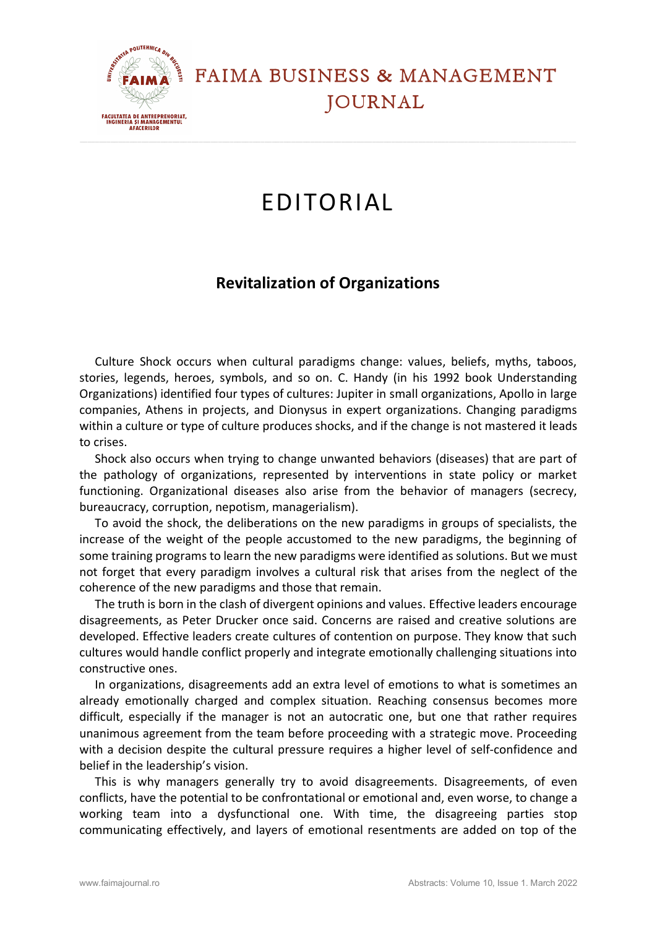

## EDITORIAL

#### **Revitalization of Organizations**

Culture Shock occurs when cultural paradigms change: values, beliefs, myths, taboos, stories, legends, heroes, symbols, and so on. C. Handy (in his 1992 book Understanding Organizations) identified four types of cultures: Jupiter in small organizations, Apollo in large companies, Athens in projects, and Dionysus in expert organizations. Changing paradigms within a culture or type of culture produces shocks, and if the change is not mastered it leads to crises.

Shock also occurs when trying to change unwanted behaviors (diseases) that are part of the pathology of organizations, represented by interventions in state policy or market functioning. Organizational diseases also arise from the behavior of managers (secrecy, bureaucracy, corruption, nepotism, managerialism).

To avoid the shock, the deliberations on the new paradigms in groups of specialists, the increase of the weight of the people accustomed to the new paradigms, the beginning of some training programs to learn the new paradigms were identified as solutions. But we must not forget that every paradigm involves a cultural risk that arises from the neglect of the coherence of the new paradigms and those that remain.

The truth is born in the clash of divergent opinions and values. Effective leaders encourage disagreements, as Peter Drucker once said. Concerns are raised and creative solutions are developed. Effective leaders create cultures of contention on purpose. They know that such cultures would handle conflict properly and integrate emotionally challenging situations into constructive ones.

In organizations, disagreements add an extra level of emotions to what is sometimes an already emotionally charged and complex situation. Reaching consensus becomes more difficult, especially if the manager is not an autocratic one, but one that rather requires unanimous agreement from the team before proceeding with a strategic move. Proceeding with a decision despite the cultural pressure requires a higher level of self-confidence and belief in the leadership's vision.

This is why managers generally try to avoid disagreements. Disagreements, of even conflicts, have the potential to be confrontational or emotional and, even worse, to change a working team into a dysfunctional one. With time, the disagreeing parties stop communicating effectively, and layers of emotional resentments are added on top of the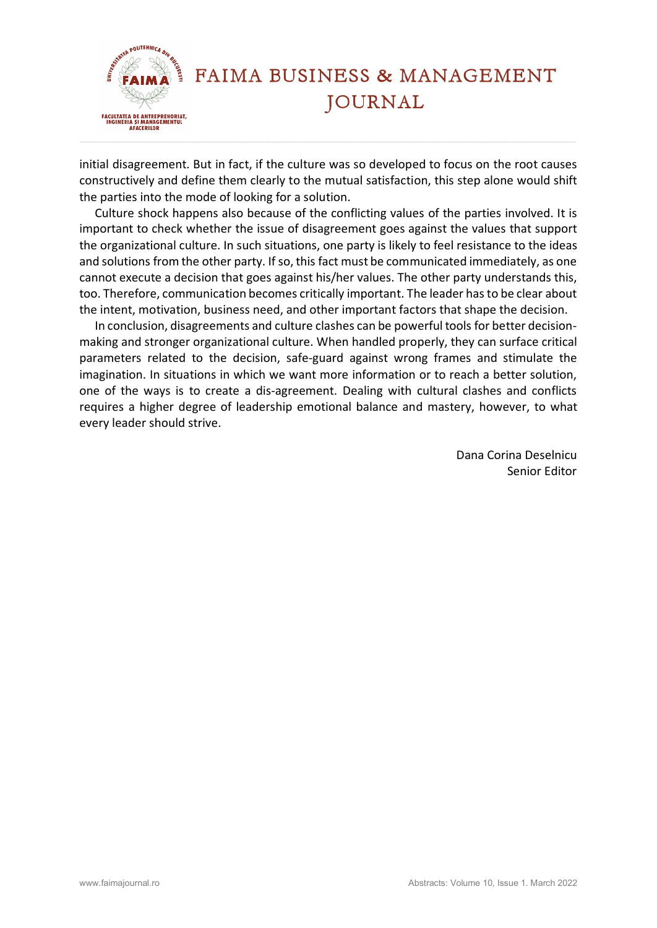

initial disagreement. But in fact, if the culture was so developed to focus on the root causes constructively and define them clearly to the mutual satisfaction, this step alone would shift the parties into the mode of looking for a solution.

Culture shock happens also because of the conflicting values of the parties involved. It is important to check whether the issue of disagreement goes against the values that support the organizational culture. In such situations, one party is likely to feel resistance to the ideas and solutions from the other party. If so, this fact must be communicated immediately, as one cannot execute a decision that goes against his/her values. The other party understands this, too. Therefore, communication becomes critically important. The leader has to be clear about the intent, motivation, business need, and other important factors that shape the decision.

In conclusion, disagreements and culture clashes can be powerful tools for better decisionmaking and stronger organizational culture. When handled properly, they can surface critical parameters related to the decision, safe-guard against wrong frames and stimulate the imagination. In situations in which we want more information or to reach a better solution, one of the ways is to create a dis-agreement. Dealing with cultural clashes and conflicts requires a higher degree of leadership emotional balance and mastery, however, to what every leader should strive.

> Dana Corina Deselnicu Senior Editor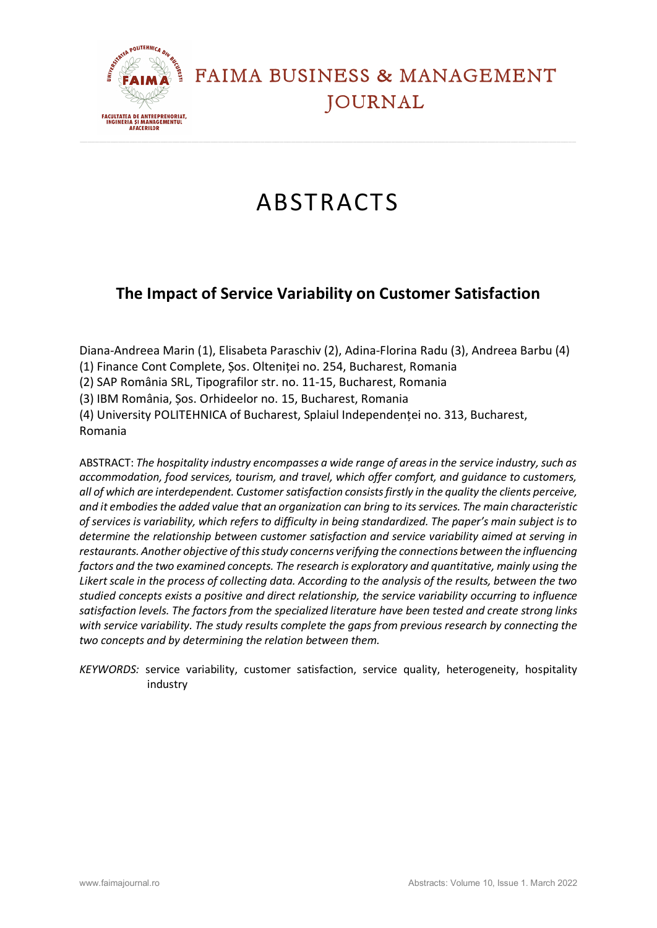

# ABSTRACTS

### **The Impact of Service Variability on Customer Satisfaction**

Diana-Andreea Marin (1), Elisabeta Paraschiv (2), Adina-Florina Radu (3), Andreea Barbu (4)

(1) Finance Cont Complete, Șos. Olteniței no. 254, Bucharest, Romania

(2) SAP România SRL, Tipografilor str. no. 11-15, Bucharest, Romania

(3) IBM România, Șos. Orhideelor no. 15, Bucharest, Romania

(4) University POLITEHNICA of Bucharest, Splaiul Independenței no. 313, Bucharest, Romania

ABSTRACT: *The hospitality industry encompasses a wide range of areas in the service industry, such as accommodation, food services, tourism, and travel, which offer comfort, and guidance to customers, all of which are interdependent. Customer satisfaction consists firstly in the quality the clients perceive, and it embodies the added value that an organization can bring to its services. The main characteristic of services is variability, which refers to difficulty in being standardized. The paper's main subject is to determine the relationship between customer satisfaction and service variability aimed at serving in restaurants. Another objective of this study concerns verifying the connections between the influencing factors and the two examined concepts. The research is exploratory and quantitative, mainly using the Likert scale in the process of collecting data. According to the analysis of the results, between the two studied concepts exists a positive and direct relationship, the service variability occurring to influence satisfaction levels. The factors from the specialized literature have been tested and create strong links with service variability. The study results complete the gaps from previous research by connecting the two concepts and by determining the relation between them.*

*KEYWORDS:* service variability, customer satisfaction, service quality, heterogeneity, hospitality industry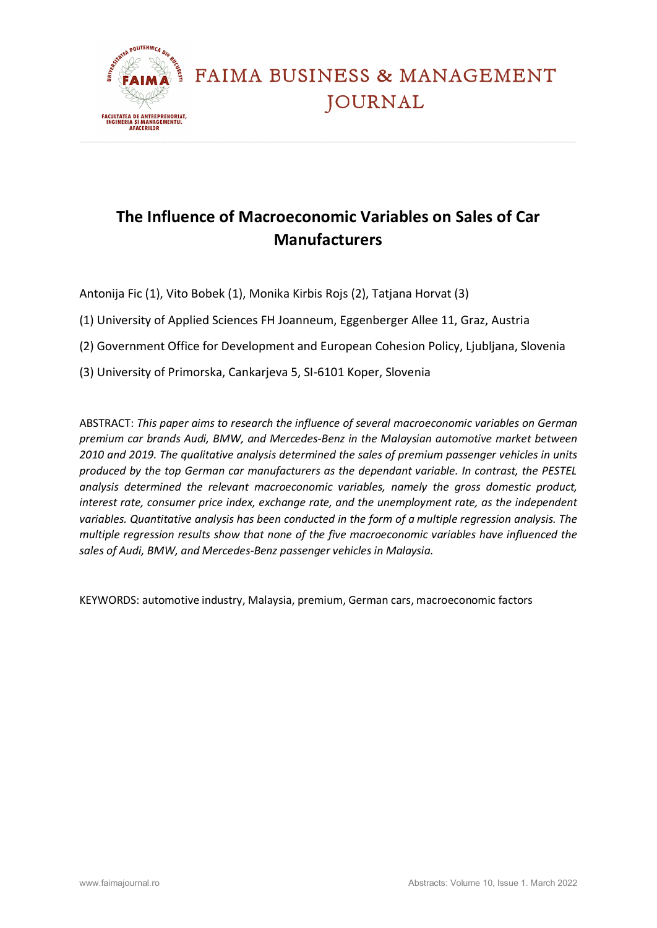

### **The Influence of Macroeconomic Variables on Sales of Car Manufacturers**

Antonija Fic (1), Vito Bobek (1), Monika Kirbis Rojs (2), Tatjana Horvat (3)

- (1) University of Applied Sciences FH Joanneum, Eggenberger Allee 11, Graz, Austria
- (2) Government Office for Development and European Cohesion Policy, Ljubljana, Slovenia
- (3) University of Primorska, Cankarjeva 5, SI-6101 Koper, Slovenia

ABSTRACT: *This paper aims to research the influence of several macroeconomic variables on German premium car brands Audi, BMW, and Mercedes-Benz in the Malaysian automotive market between 2010 and 2019. The qualitative analysis determined the sales of premium passenger vehicles in units produced by the top German car manufacturers as the dependant variable. In contrast, the PESTEL analysis determined the relevant macroeconomic variables, namely the gross domestic product, interest rate, consumer price index, exchange rate, and the unemployment rate, as the independent variables. Quantitative analysis has been conducted in the form of a multiple regression analysis. The multiple regression results show that none of the five macroeconomic variables have influenced the sales of Audi, BMW, and Mercedes-Benz passenger vehicles in Malaysia.*

KEYWORDS: automotive industry, Malaysia, premium, German cars, macroeconomic factors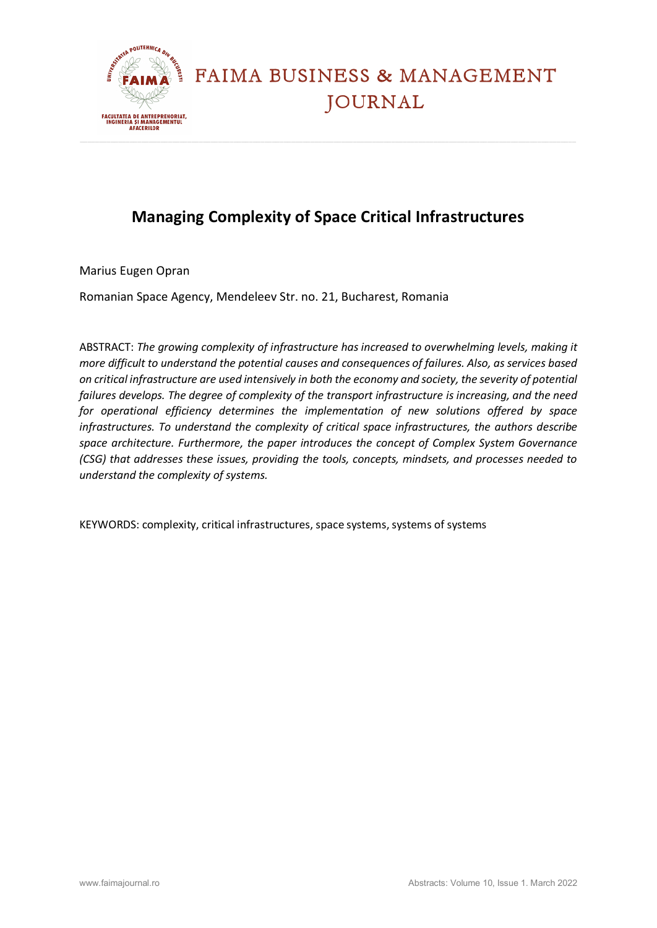

### **Managing Complexity of Space Critical Infrastructures**

Marius Eugen Opran

Romanian Space Agency, Mendeleev Str. no. 21, Bucharest, Romania

ABSTRACT: *The growing complexity of infrastructure has increased to overwhelming levels, making it more difficult to understand the potential causes and consequences of failures. Also, as services based on critical infrastructure are used intensively in both the economy and society, the severity of potential failures develops. The degree of complexity of the transport infrastructure is increasing, and the need for operational efficiency determines the implementation of new solutions offered by space infrastructures. To understand the complexity of critical space infrastructures, the authors describe space architecture. Furthermore, the paper introduces the concept of Complex System Governance (CSG) that addresses these issues, providing the tools, concepts, mindsets, and processes needed to understand the complexity of systems.*

KEYWORDS: complexity, critical infrastructures, space systems, systems of systems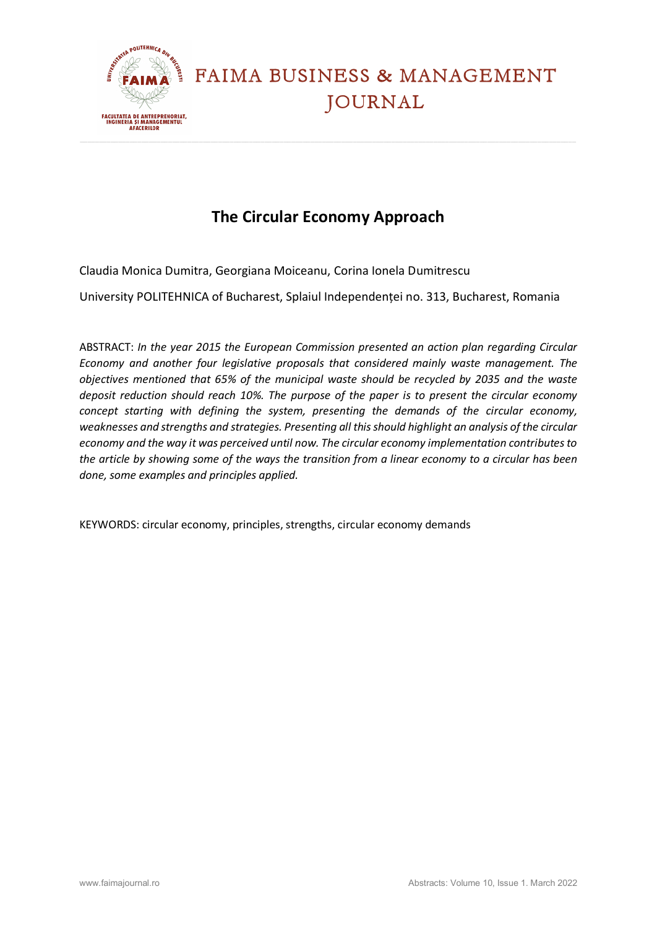

### **The Circular Economy Approach**

Claudia Monica Dumitra, Georgiana Moiceanu, Corina Ionela Dumitrescu

University POLITEHNICA of Bucharest, Splaiul Independenței no. 313, Bucharest, Romania

ABSTRACT: *In the year 2015 the European Commission presented an action plan regarding Circular Economy and another four legislative proposals that considered mainly waste management. The objectives mentioned that 65% of the municipal waste should be recycled by 2035 and the waste deposit reduction should reach 10%. The purpose of the paper is to present the circular economy concept starting with defining the system, presenting the demands of the circular economy, weaknesses and strengths and strategies. Presenting all this should highlight an analysis of the circular economy and the way it was perceived until now. The circular economy implementation contributes to the article by showing some of the ways the transition from a linear economy to a circular has been done, some examples and principles applied.* 

KEYWORDS: circular economy, principles, strengths, circular economy demands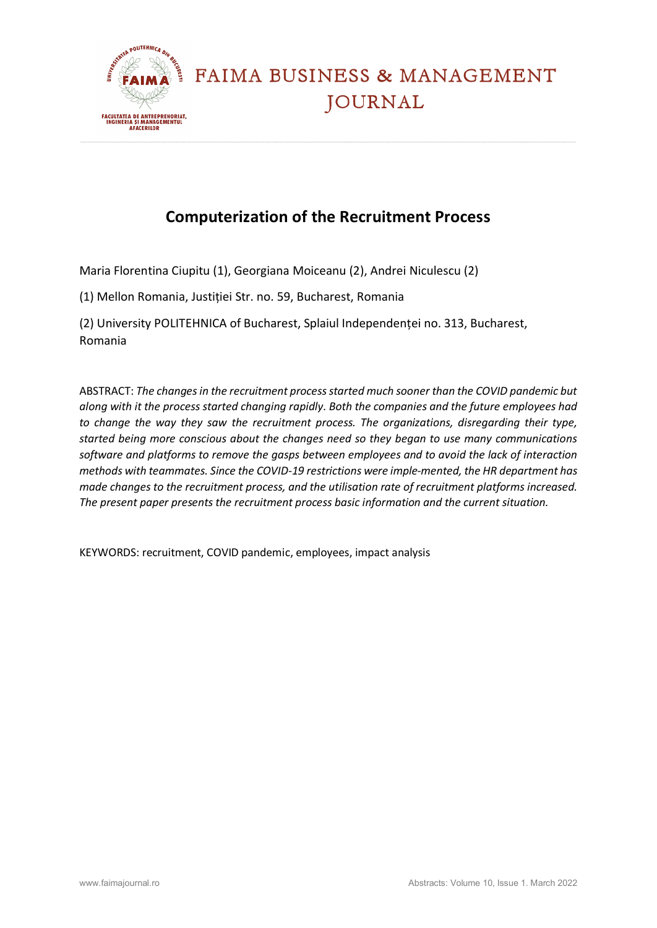

#### **Computerization of the Recruitment Process**

Maria Florentina Ciupitu (1), Georgiana Moiceanu (2), Andrei Niculescu (2)

(1) Mellon Romania, Justiției Str. no. 59, Bucharest, Romania

(2) University POLITEHNICA of Bucharest, Splaiul Independenței no. 313, Bucharest, Romania

ABSTRACT: *The changes in the recruitment process started much sooner than the COVID pandemic but along with it the process started changing rapidly. Both the companies and the future employees had to change the way they saw the recruitment process. The organizations, disregarding their type, started being more conscious about the changes need so they began to use many communications software and platforms to remove the gasps between employees and to avoid the lack of interaction methods with teammates. Since the COVID-19 restrictions were imple-mented, the HR department has made changes to the recruitment process, and the utilisation rate of recruitment platforms increased. The present paper presents the recruitment process basic information and the current situation.* 

KEYWORDS: recruitment, COVID pandemic, employees, impact analysis